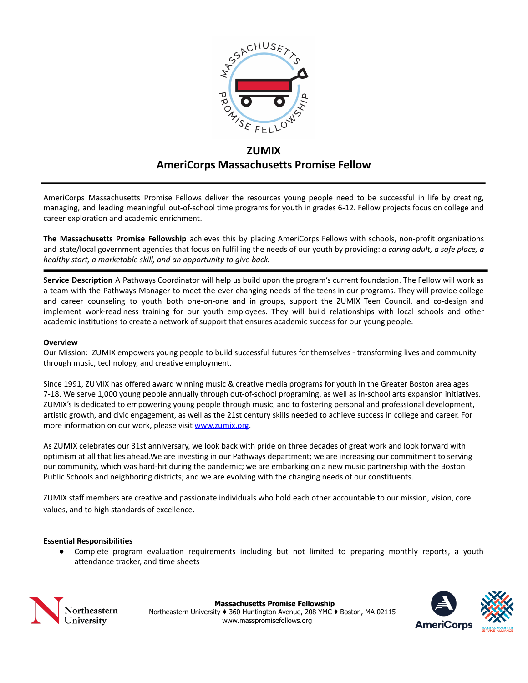

# **ZUMIX AmeriCorps Massachusetts Promise Fellow**

AmeriCorps Massachusetts Promise Fellows deliver the resources young people need to be successful in life by creating, managing, and leading meaningful out-of-school time programs for youth in grades 6-12. Fellow projects focus on college and career exploration and academic enrichment.

**The Massachusetts Promise Fellowship** achieves this by placing AmeriCorps Fellows with schools, non-profit organizations and state/local government agencies that focus on fulfilling the needs of our youth by providing: *a caring adult, a safe place, a healthy start, a marketable skill, and an opportunity to give back.*

**Service Description** A Pathways Coordinator will help us build upon the program's current foundation. The Fellow will work as a team with the Pathways Manager to meet the ever-changing needs of the teens in our programs. They will provide college and career counseling to youth both one-on-one and in groups, support the ZUMIX Teen Council, and co-design and implement work-readiness training for our youth employees. They will build relationships with local schools and other academic institutions to create a network of support that ensures academic success for our young people.

#### **Overview**

Our Mission: ZUMIX empowers young people to build successful futures for themselves - transforming lives and community through music, technology, and creative employment.

Since 1991, ZUMIX has offered award winning music & creative media programs for youth in the Greater Boston area ages 7-18. We serve 1,000 young people annually through out-of-school programing, as well as in-school arts expansion initiatives. ZUMIX's is dedicated to empowering young people through music, and to fostering personal and professional development, artistic growth, and civic engagement, as well as the 21st century skills needed to achieve success in college and career. For more information on our work, please visit [www.zumix.org.](http://www.zumix.org)

As ZUMIX celebrates our 31st anniversary, we look back with pride on three decades of great work and look forward with optimism at all that lies ahead.We are investing in our Pathways department; we are increasing our commitment to serving our community, which was hard-hit during the pandemic; we are embarking on a new music partnership with the Boston Public Schools and neighboring districts; and we are evolving with the changing needs of our constituents.

ZUMIX staff members are creative and passionate individuals who hold each other accountable to our mission, vision, core values, and to high standards of excellence.

#### **Essential Responsibilities**

● Complete program evaluation requirements including but not limited to preparing monthly reports, a youth attendance tracker, and time sheets



**Massachusetts Promise Fellowship** Northeastern University ♦ 360 Huntington Avenue, 208 YMC ♦ Boston, MA 02115 www.masspromisefellows.org

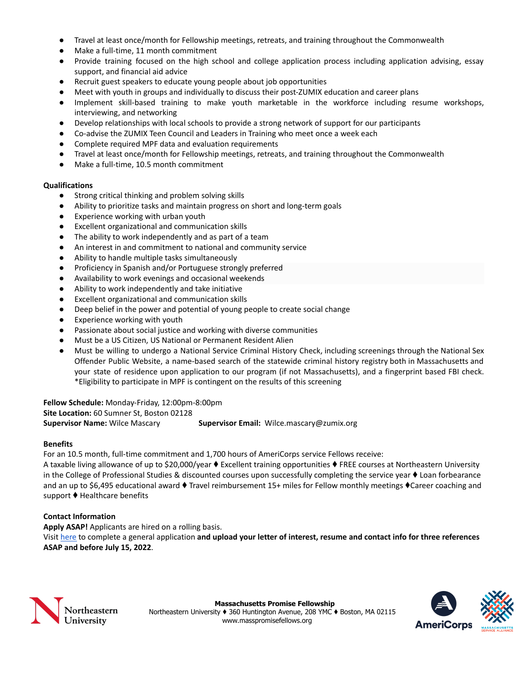- Travel at least once/month for Fellowship meetings, retreats, and training throughout the Commonwealth
- Make a full-time, 11 month commitment
- Provide training focused on the high school and college application process including application advising, essay support, and financial aid advice
- Recruit guest speakers to educate young people about job opportunities
- Meet with youth in groups and individually to discuss their post-ZUMIX education and career plans
- Implement skill-based training to make youth marketable in the workforce including resume workshops, interviewing, and networking
- Develop relationships with local schools to provide a strong network of support for our participants
- Co-advise the ZUMIX Teen Council and Leaders in Training who meet once a week each
- Complete required MPF data and evaluation requirements
- Travel at least once/month for Fellowship meetings, retreats, and training throughout the Commonwealth
- Make a full-time, 10.5 month commitment

## **Qualifications**

- Strong critical thinking and problem solving skills
- Ability to prioritize tasks and maintain progress on short and long-term goals
- Experience working with urban youth
- Excellent organizational and communication skills
- The ability to work independently and as part of a team
- An interest in and commitment to national and community service
- Ability to handle multiple tasks simultaneously
- Proficiency in Spanish and/or Portuguese strongly preferred
- Availability to work evenings and occasional weekends
- Ability to work independently and take initiative
- Excellent organizational and communication skills
- Deep belief in the power and potential of young people to create social change
- Experience working with youth
- Passionate about social justice and working with diverse communities
- Must be a US Citizen, US National or Permanent Resident Alien
- Must be willing to undergo a National Service Criminal History Check, including screenings through the National Sex Offender Public Website, a name-based search of the statewide criminal history registry both in Massachusetts and your state of residence upon application to our program (if not Massachusetts), and a fingerprint based FBI check. \*Eligibility to participate in MPF is contingent on the results of this screening

#### **Fellow Schedule:** Monday-Friday, 12:00pm-8:00pm

**Site Location:** 60 Sumner St, Boston 02128

**Supervisor Name:** Wilce Mascary **Supervisor Email:** Wilce.mascary@zumix.org

#### **Benefits**

For an 10.5 month, full-time commitment and 1,700 hours of AmeriCorps service Fellows receive:

A taxable living allowance of up to \$20,000/year ♦ Excellent training opportunities ♦ FREE courses at Northeastern University in the College of Professional Studies & discounted courses upon successfully completing the service year ♦ Loan forbearance and an up to \$6,495 educational award ♦ Travel reimbursement 15+ miles for Fellow monthly meetings ♦Career coaching and support ♦ Healthcare benefits

# **Contact Information**

**Apply ASAP!** Applicants are hired on a rolling basis.

Visit [here](https://neu.co1.qualtrics.com/jfe/form/SV_3m8XA4tfTvoW6ZU) to complete a general application **and upload your letter of interest, resume and contact info for three references ASAP and before July 15, 2022**.